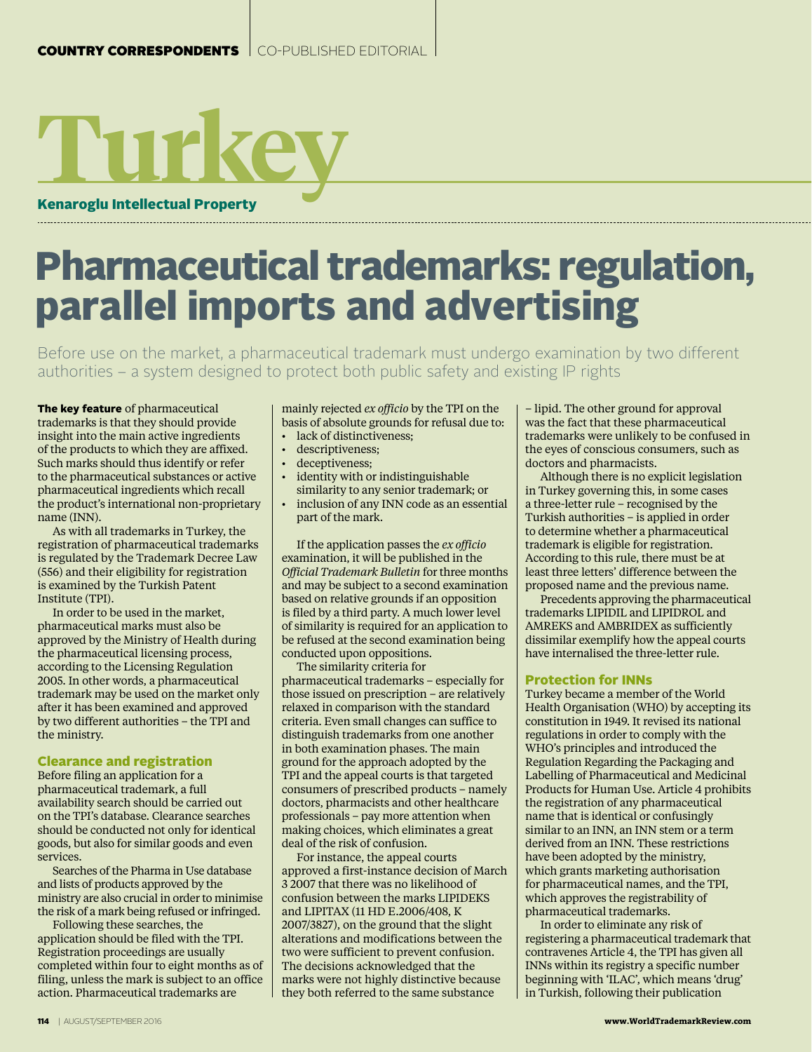# Kenaroglu Intellectual Property **Turkey**

## Pharmaceutical trademarks: regulation, parallel imports and advertising

Before use on the market, a pharmaceutical trademark must undergo examination by two different authorities – a system designed to protect both public safety and existing IP rights

The key feature of pharmaceutical trademarks is that they should provide insight into the main active ingredients of the products to which they are affixed. Such marks should thus identify or refer to the pharmaceutical substances or active pharmaceutical ingredients which recall the product's international non-proprietary name (INN).

As with all trademarks in Turkey, the registration of pharmaceutical trademarks is regulated by the Trademark Decree Law (556) and their eligibility for registration is examined by the Turkish Patent Institute (TPI).

In order to be used in the market, pharmaceutical marks must also be approved by the Ministry of Health during the pharmaceutical licensing process, according to the Licensing Regulation 2005. In other words, a pharmaceutical trademark may be used on the market only after it has been examined and approved by two different authorities – the TPI and the ministry.

### Clearance and registration

Before filing an application for a pharmaceutical trademark, a full availability search should be carried out on the TPI's database. Clearance searches should be conducted not only for identical goods, but also for similar goods and even services.

Searches of the Pharma in Use database and lists of products approved by the ministry are also crucial in order to minimise the risk of a mark being refused or infringed.

Following these searches, the application should be filed with the TPI. Registration proceedings are usually completed within four to eight months as of filing, unless the mark is subject to an office action. Pharmaceutical trademarks are

mainly rejected *ex officio* by the TPI on the basis of absolute grounds for refusal due to:

- lack of distinctiveness:
- descriptiveness:
- deceptiveness;
- identity with or indistinguishable similarity to any senior trademark; or
- inclusion of any INN code as an essential part of the mark.

If the application passes the *ex officio* examination, it will be published in the *Official Trademark Bulletin* for three months and may be subject to a second examination based on relative grounds if an opposition is filed by a third party. A much lower level of similarity is required for an application to be refused at the second examination being conducted upon oppositions.

The similarity criteria for pharmaceutical trademarks – especially for those issued on prescription – are relatively relaxed in comparison with the standard criteria. Even small changes can suffice to distinguish trademarks from one another in both examination phases. The main ground for the approach adopted by the TPI and the appeal courts is that targeted consumers of prescribed products – namely doctors, pharmacists and other healthcare professionals – pay more attention when making choices, which eliminates a great deal of the risk of confusion.

For instance, the appeal courts approved a first-instance decision of March 3 2007 that there was no likelihood of confusion between the marks LIPIDEKS and LIPITAX (11 HD E.2006/408, K 2007/3827), on the ground that the slight alterations and modifications between the two were sufficient to prevent confusion. The decisions acknowledged that the marks were not highly distinctive because they both referred to the same substance

– lipid. The other ground for approval was the fact that these pharmaceutical trademarks were unlikely to be confused in the eyes of conscious consumers, such as doctors and pharmacists.

Although there is no explicit legislation in Turkey governing this, in some cases a three-letter rule – recognised by the Turkish authorities – is applied in order to determine whether a pharmaceutical trademark is eligible for registration. According to this rule, there must be at least three letters' difference between the proposed name and the previous name.

Precedents approving the pharmaceutical trademarks LIPIDIL and LIPIDROL and AMREKS and AMBRIDEX as sufficiently dissimilar exemplify how the appeal courts have internalised the three-letter rule.

#### Protection for INNs

Turkey became a member of the World Health Organisation (WHO) by accepting its constitution in 1949. It revised its national regulations in order to comply with the WHO's principles and introduced the Regulation Regarding the Packaging and Labelling of Pharmaceutical and Medicinal Products for Human Use. Article 4 prohibits the registration of any pharmaceutical name that is identical or confusingly similar to an INN, an INN stem or a term derived from an INN. These restrictions have been adopted by the ministry, which grants marketing authorisation for pharmaceutical names, and the TPI, which approves the registrability of pharmaceutical trademarks.

In order to eliminate any risk of registering a pharmaceutical trademark that contravenes Article 4, the TPI has given all INNs within its registry a specific number beginning with 'ILAC', which means 'drug' in Turkish, following their publication